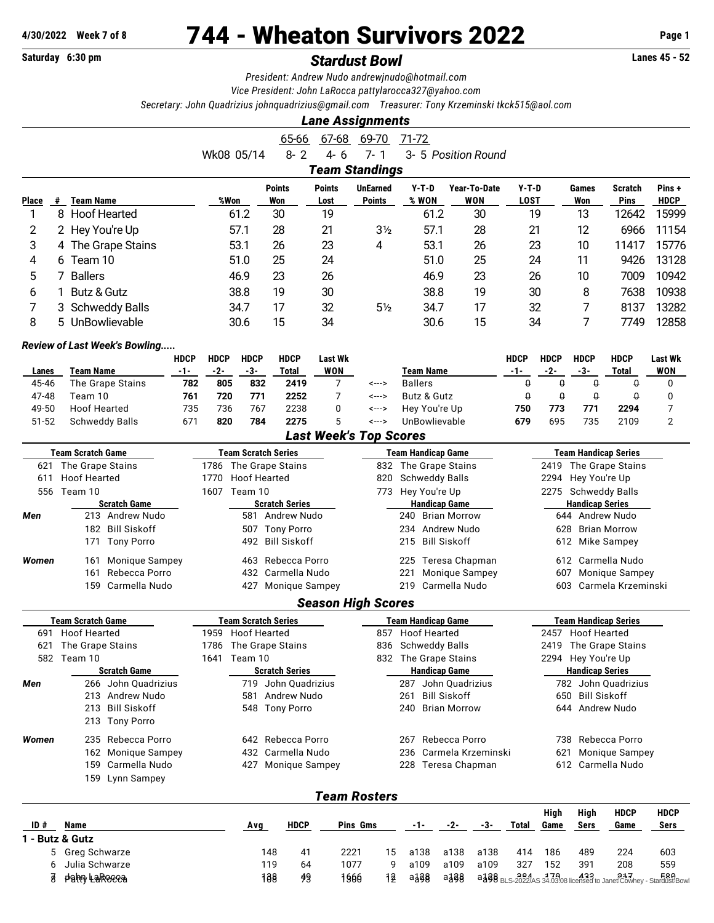## **4/30/2022 Week 7 of 8** 744 - Wheaton Survivors 2022 **Page 1**

## **Saturday 6:30 pm** *Stardust Bowl* **Lanes 45 - 52**

*President: Andrew Nudo [andrewjnudo@hotmail.com](mailto:andrewjnudo@hotmail.com)*

*Vice President: John LaRocca [pattylarocca327@yahoo.com](mailto:pattylarocca327@yahoo.com)*

*Secretary: John Quadrizius [johnquadrizius@gmail.com](mailto:johnquadrizius@gmail.com) Treasurer: Tony Krzeminski [tkck515@aol.com](mailto:tkck515@aol.com)*

|                |                                              |                          |                   |                                                     |                       | <b>Lane Assignments</b>                     |                     |                                               |       |                            |                        |                 |                                              |                                                      |                      |
|----------------|----------------------------------------------|--------------------------|-------------------|-----------------------------------------------------|-----------------------|---------------------------------------------|---------------------|-----------------------------------------------|-------|----------------------------|------------------------|-----------------|----------------------------------------------|------------------------------------------------------|----------------------|
|                |                                              |                          |                   | $65 - 66$                                           | $67 - 68$             | 69-70                                       |                     | 71-72                                         |       |                            |                        |                 |                                              |                                                      |                      |
|                |                                              |                          | Wk08 05/14        | $8 - 2$                                             | $4 - 6$               | $7 - 1$                                     |                     |                                               |       | 3- 5 Position Round        |                        |                 |                                              |                                                      |                      |
|                |                                              |                          |                   |                                                     |                       | <b>Team Standings</b>                       |                     |                                               |       |                            |                        |                 |                                              |                                                      |                      |
|                |                                              |                          |                   |                                                     |                       |                                             |                     |                                               |       |                            |                        |                 |                                              |                                                      |                      |
| Place          | <b>Team Name</b><br>#                        |                          | %Won              | <b>Points</b><br>Won                                | <b>Points</b><br>Lost | <b>UnEarned</b><br><b>Points</b>            |                     | $Y-T-D$<br>% WON                              |       | Year-To-Date<br><b>WON</b> | $Y-T-D$<br><b>LOST</b> |                 | Games<br>Won                                 | Scratch<br>Pins                                      | Pins+<br><b>HDCP</b> |
| 1              | 8 Hoof Hearted                               |                          | 61.2              | 30                                                  | 19                    |                                             |                     | 61.2                                          |       | 30                         |                        | 19              | 13                                           | 12642                                                | 15999                |
| 2              | 2 Hey You're Up                              |                          | 57.1              | 28                                                  | 21                    | 3 <sub>2</sub>                              |                     | 57.1                                          |       | 28                         |                        | 21              | 12                                           | 6966                                                 | 11154                |
| 3              |                                              |                          | 53.1              | 26                                                  | 23                    | 4                                           |                     | 53.1                                          |       | 26                         |                        | 23              | 10                                           | 11417                                                | 15776                |
|                | The Grape Stains<br>4                        |                          | 51.0              | 25                                                  |                       |                                             |                     | 51.0                                          |       |                            |                        |                 | 11                                           |                                                      | 13128                |
| 4              | 6 Team 10                                    |                          |                   |                                                     | 24                    |                                             |                     |                                               |       | 25                         |                        | 24              |                                              | 9426                                                 |                      |
| 5              | 7 Ballers                                    |                          | 46.9              | 23                                                  | 26                    |                                             |                     | 46.9                                          |       | 23                         |                        | 26              | 10                                           | 7009                                                 | 10942                |
| 6              | Butz & Gutz<br>1.                            |                          | 38.8              | 19                                                  | 30                    |                                             |                     | 38.8                                          |       | 19                         |                        | 30              | 8                                            | 7638                                                 | 10938                |
| 7              | Schweddy Balls<br>3                          |                          | 34.7              | 17                                                  | 32                    | 5 <sub>2</sub>                              |                     | 34.7                                          |       | 17                         |                        | 32              | 7                                            | 8137                                                 | 13282                |
| 8              | UnBowlievable<br>5                           |                          | 30.6              | 15                                                  | 34                    |                                             |                     | 30.6                                          |       | 15                         |                        | 34              | 7                                            | 7749                                                 | 12858                |
|                | <b>Review of Last Week's Bowling</b>         |                          |                   |                                                     |                       |                                             |                     |                                               |       |                            |                        |                 |                                              |                                                      |                      |
|                | <b>HDCP</b>                                  | <b>HDCP</b>              | <b>HDCP</b>       | <b>HDCP</b>                                         | <b>Last Wk</b>        |                                             |                     |                                               |       |                            | <b>HDCP</b>            | <b>HDCP</b>     | <b>HDCP</b>                                  | <b>HDCP</b>                                          | Last Wk              |
| Lanes          | <b>Team Name</b><br>$-1-$                    | $-2-$                    | $-3-$             | <b>Total</b>                                        | <b>WON</b>            |                                             |                     | <b>Team Name</b>                              |       |                            | $-1-$                  | $-2-$           | $-3-$                                        | Total                                                | <b>WON</b>           |
| 45-46          | The Grape Stains                             | 782<br>805               | 832               | 2419                                                | 7                     | <--->                                       |                     | <b>Ballers</b>                                |       |                            | $\Omega$               | $\theta$        | $\theta$                                     | $\Omega$                                             | 0                    |
| 47-48          | Team 10                                      | 761<br>720               | 771               | 2252                                                | $\overline{7}$        | <--->                                       |                     | Butz & Gutz                                   |       |                            | $\pmb{\mathsf{Q}}$     | $\theta$        | $\pmb{\mathsf{Q}}$                           | Û                                                    | 0                    |
| 49-50<br>51-52 | <b>Hoof Hearted</b><br><b>Schweddy Balls</b> | 735<br>736<br>671<br>820 | 767<br>784        | 2238<br>2275                                        | 0<br>5                | <---><br><--->                              |                     | Hey You're Up<br>UnBowlievable                |       |                            | 750<br>679             | 773<br>695      | 771<br>735                                   | 2294<br>2109                                         | 7<br>$\overline{2}$  |
|                |                                              |                          |                   |                                                     |                       | <b>Last Week's Top Scores</b>               |                     |                                               |       |                            |                        |                 |                                              |                                                      |                      |
|                |                                              |                          |                   |                                                     |                       |                                             |                     |                                               |       |                            |                        |                 |                                              |                                                      |                      |
| 621            | <b>Team Scratch Game</b><br>The Grape Stains |                          |                   | <b>Team Scratch Series</b><br>1786 The Grape Stains |                       | 832                                         |                     | <b>Team Handicap Game</b><br>The Grape Stains |       |                            |                        |                 |                                              | <b>Team Handicap Series</b><br>2419 The Grape Stains |                      |
| 611            | <b>Hoof Hearted</b>                          | 1770                     |                   | <b>Hoof Hearted</b>                                 |                       | 820                                         |                     | <b>Schweddy Balls</b>                         |       |                            |                        |                 | 2294 Hey You're Up                           |                                                      |                      |
|                | 556 Team 10                                  |                          | 1607 Team 10      |                                                     |                       |                                             |                     | 773 Hey You're Up                             |       |                            |                        |                 |                                              | 2275 Schweddy Balls                                  |                      |
|                | <b>Scratch Game</b>                          |                          |                   | <b>Scratch Series</b>                               |                       |                                             |                     | <b>Handicap Game</b>                          |       |                            |                        |                 | <b>Handicap Series</b>                       |                                                      |                      |
| Men            | 213 Andrew Nudo                              |                          |                   | 581 Andrew Nudo                                     |                       |                                             | Brian Morrow<br>240 |                                               |       |                            |                        | 644 Andrew Nudo |                                              |                                                      |                      |
|                | 182 Bill Siskoff                             |                          |                   | 507 Tony Porro                                      |                       |                                             |                     | 234 Andrew Nudo                               |       |                            |                        | 628             | <b>Brian Morrow</b>                          |                                                      |                      |
|                | 171 Tony Porro                               |                          |                   | 492 Bill Siskoff                                    |                       |                                             | 215 Bill Siskoff    |                                               |       |                            |                        |                 |                                              | 612 Mike Sampey                                      |                      |
| Women          | Monique Sampey<br>161                        |                          |                   | 463 Rebecca Porro                                   |                       |                                             |                     | 225 Teresa Chapman                            |       |                            |                        | 612             |                                              | Carmella Nudo                                        |                      |
|                | Rebecca Porro<br>161                         |                          |                   | 432 Carmella Nudo                                   |                       |                                             | 221                 |                                               |       | Monique Sampey             |                        | 607             |                                              | <b>Monique Sampey</b>                                |                      |
|                | 159 Carmella Nudo                            |                          | 427               | <b>Monique Sampey</b>                               |                       |                                             |                     | 219 Carmella Nudo                             |       |                            |                        | 603             |                                              | Carmela Krzeminski                                   |                      |
|                |                                              |                          |                   |                                                     |                       | <b>Season High Scores</b>                   |                     |                                               |       |                            |                        |                 |                                              |                                                      |                      |
|                | <b>Team Scratch Game</b>                     |                          |                   | <b>Team Scratch Series</b>                          |                       |                                             |                     | <b>Team Handicap Game</b>                     |       |                            |                        |                 |                                              | <b>Team Handicap Series</b>                          |                      |
|                | 691 Hoof Hearted                             |                          | 1959 Hoof Hearted |                                                     |                       |                                             |                     | 857 Hoof Hearted                              |       |                            |                        |                 | 2457 Hoof Hearted                            |                                                      |                      |
|                | 621 The Grape Stains                         |                          |                   | 1786 The Grape Stains                               |                       |                                             |                     | 836 Schweddy Balls                            |       |                            |                        |                 |                                              | 2419 The Grape Stains                                |                      |
|                | 582 Team 10                                  |                          | 1641 Team 10      |                                                     |                       |                                             |                     | 832 The Grape Stains                          |       |                            |                        |                 | 2294 Hey You're Up<br><b>Handicap Series</b> |                                                      |                      |
| Men            | <b>Scratch Game</b><br>266 John Quadrizius   |                          |                   | <b>Scratch Series</b><br>719 John Quadrizius        |                       |                                             |                     | <b>Handicap Game</b><br>287 John Quadrizius   |       |                            |                        |                 |                                              | 782 John Quadrizius                                  |                      |
|                | 213 Andrew Nudo                              |                          |                   | 581 Andrew Nudo                                     |                       |                                             | 261                 |                                               |       |                            |                        |                 | 650 Bill Siskoff                             |                                                      |                      |
|                | 213 Bill Siskoff                             |                          |                   | 548 Tony Porro                                      |                       |                                             |                     | <b>Bill Siskoff</b><br>240 Brian Morrow       |       |                            |                        |                 | 644 Andrew Nudo                              |                                                      |                      |
|                | 213 Tony Porro                               |                          |                   |                                                     |                       |                                             |                     |                                               |       |                            |                        |                 |                                              |                                                      |                      |
| Women          | 235 Rebecca Porro                            |                          |                   | 642 Rebecca Porro                                   |                       |                                             |                     |                                               |       |                            |                        |                 |                                              | 738 Rebecca Porro                                    |                      |
|                | 162 Monique Sampey                           |                          | 432 Carmella Nudo |                                                     |                       | 267 Rebecca Porro<br>236 Carmela Krzeminski |                     |                                               |       |                            |                        |                 |                                              | 621 Monique Sampey                                   |                      |
|                | 159 Carmella Nudo                            |                          |                   | 427 Monique Sampey                                  |                       |                                             |                     | 228 Teresa Chapman                            |       |                            |                        |                 |                                              | 612 Carmella Nudo                                    |                      |
|                | 159 Lynn Sampey                              |                          |                   |                                                     |                       |                                             |                     |                                               |       |                            |                        |                 |                                              |                                                      |                      |
|                |                                              |                          |                   |                                                     |                       | <b>Team Rosters</b>                         |                     |                                               |       |                            |                        |                 |                                              |                                                      |                      |
|                |                                              |                          |                   |                                                     |                       |                                             |                     |                                               |       |                            |                        | High            | High                                         | <b>HDCP</b>                                          | HDCP                 |
| ID#            | Name                                         |                          | <b>Avg</b>        | HDCP                                                |                       | Pins Gms                                    |                     | -1-                                           | $-2-$ | <u>-3-</u>                 | Total                  | Game            | Sers                                         | Game                                                 | Sers                 |
|                | 1 - Butz & Gutz                              |                          |                   |                                                     |                       |                                             |                     |                                               |       |                            |                        |                 |                                              |                                                      |                      |
|                | Greg Schwarze<br>5.                          |                          |                   | 148                                                 | 41                    | 2221                                        | 15                  | a138                                          | a138  | a138                       | 414                    | 186             | 489                                          | 224                                                  | 603                  |
|                | Julia Schwarze<br>6                          |                          |                   | 119                                                 | 64                    | 1077                                        | 9                   | a109                                          | a109  | a109                       | 327                    | 152             | 391                                          | 208                                                  | 559                  |

6 Julia Schwarze 119 64 1077 9 a109 a109 a109 327

7 John LaRocca 217 Land 138 498 1966 12 a138 a138 a138 BLS-2022/AS 34.03.08 licensed to Janet Cowhey - Stardust Bowl 29 1566 384 and 2022/AS 34.03.08 licensed to Janet Cowhey - Stardust Bowl